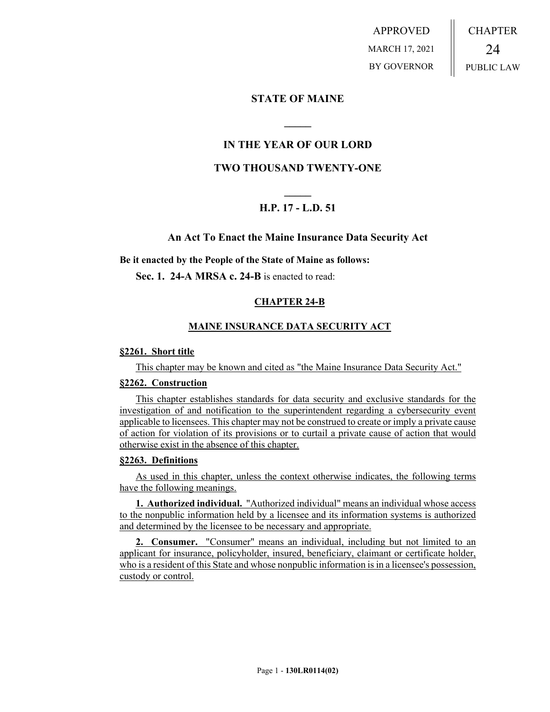APPROVED MARCH 17, 2021 BY GOVERNOR CHAPTER 24 PUBLIC LAW

# **STATE OF MAINE**

# **IN THE YEAR OF OUR LORD**

**\_\_\_\_\_**

## **TWO THOUSAND TWENTY-ONE**

# **\_\_\_\_\_ H.P. 17 - L.D. 51**

## **An Act To Enact the Maine Insurance Data Security Act**

**Be it enacted by the People of the State of Maine as follows:**

**Sec. 1. 24-A MRSA c. 24-B** is enacted to read:

# **CHAPTER 24-B**

# **MAINE INSURANCE DATA SECURITY ACT**

#### **§2261. Short title**

This chapter may be known and cited as "the Maine Insurance Data Security Act."

## **§2262. Construction**

This chapter establishes standards for data security and exclusive standards for the investigation of and notification to the superintendent regarding a cybersecurity event applicable to licensees. This chapter may not be construed to create or imply a private cause of action for violation of its provisions or to curtail a private cause of action that would otherwise exist in the absence of this chapter.

#### **§2263. Definitions**

As used in this chapter, unless the context otherwise indicates, the following terms have the following meanings.

**1. Authorized individual.** "Authorized individual" means an individual whose access to the nonpublic information held by a licensee and its information systems is authorized and determined by the licensee to be necessary and appropriate.

**2. Consumer.** "Consumer" means an individual, including but not limited to an applicant for insurance, policyholder, insured, beneficiary, claimant or certificate holder, who is a resident of this State and whose nonpublic information is in a licensee's possession, custody or control.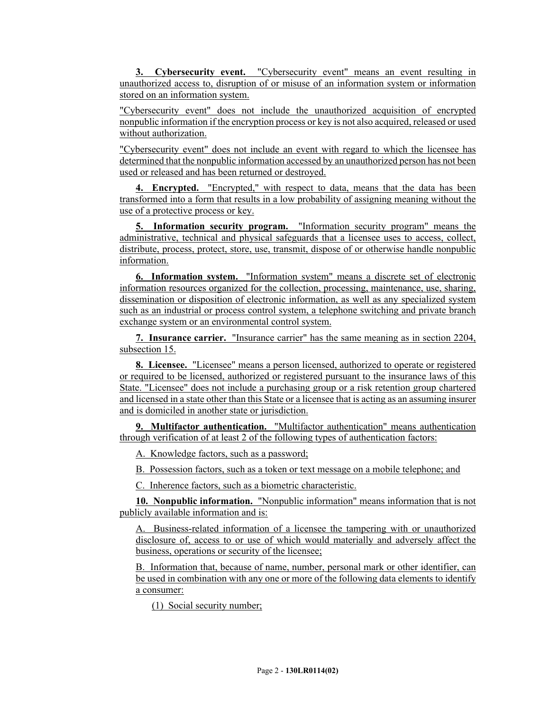**3. Cybersecurity event.** "Cybersecurity event" means an event resulting in unauthorized access to, disruption of or misuse of an information system or information stored on an information system.

"Cybersecurity event" does not include the unauthorized acquisition of encrypted nonpublic information if the encryption process or key is not also acquired, released or used without authorization.

"Cybersecurity event" does not include an event with regard to which the licensee has determined that the nonpublic information accessed by an unauthorized person has not been used or released and has been returned or destroyed.

**4. Encrypted.** "Encrypted," with respect to data, means that the data has been transformed into a form that results in a low probability of assigning meaning without the use of a protective process or key.

**5. Information security program.** "Information security program" means the administrative, technical and physical safeguards that a licensee uses to access, collect, distribute, process, protect, store, use, transmit, dispose of or otherwise handle nonpublic information.

**6. Information system.** "Information system" means a discrete set of electronic information resources organized for the collection, processing, maintenance, use, sharing, dissemination or disposition of electronic information, as well as any specialized system such as an industrial or process control system, a telephone switching and private branch exchange system or an environmental control system.

**7. Insurance carrier.** "Insurance carrier" has the same meaning as in section 2204, subsection 15.

**8. Licensee.** "Licensee" means a person licensed, authorized to operate or registered or required to be licensed, authorized or registered pursuant to the insurance laws of this State. "Licensee" does not include a purchasing group or a risk retention group chartered and licensed in a state other than this State or a licensee that is acting as an assuming insurer and is domiciled in another state or jurisdiction.

**9. Multifactor authentication.** "Multifactor authentication" means authentication through verification of at least 2 of the following types of authentication factors:

A. Knowledge factors, such as a password;

B. Possession factors, such as a token or text message on a mobile telephone; and

C. Inherence factors, such as a biometric characteristic.

**10. Nonpublic information.** "Nonpublic information" means information that is not publicly available information and is:

A. Business-related information of a licensee the tampering with or unauthorized disclosure of, access to or use of which would materially and adversely affect the business, operations or security of the licensee;

B. Information that, because of name, number, personal mark or other identifier, can be used in combination with any one or more of the following data elements to identify a consumer:

(1) Social security number;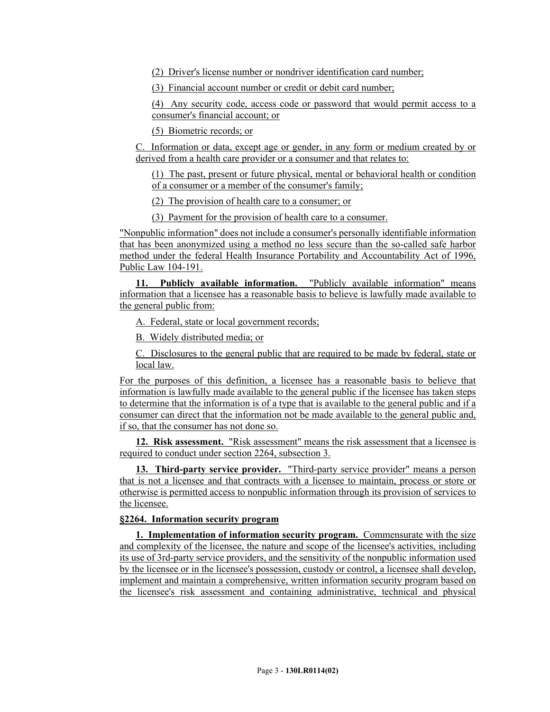(2) Driver's license number or nondriver identification card number;

(3) Financial account number or credit or debit card number;

(4) Any security code, access code or password that would permit access to a consumer's financial account; or

(5) Biometric records; or

C. Information or data, except age or gender, in any form or medium created by or derived from a health care provider or a consumer and that relates to:

(1) The past, present or future physical, mental or behavioral health or condition of a consumer or a member of the consumer's family;

(2) The provision of health care to a consumer; or

(3) Payment for the provision of health care to a consumer.

"Nonpublic information" does not include a consumer's personally identifiable information that has been anonymized using a method no less secure than the so-called safe harbor method under the federal Health Insurance Portability and Accountability Act of 1996, Public Law 104-191.

**11. Publicly available information.** "Publicly available information" means information that a licensee has a reasonable basis to believe is lawfully made available to the general public from:

A. Federal, state or local government records;

B. Widely distributed media; or

C. Disclosures to the general public that are required to be made by federal, state or local law.

For the purposes of this definition, a licensee has a reasonable basis to believe that information is lawfully made available to the general public if the licensee has taken steps to determine that the information is of a type that is available to the general public and if a consumer can direct that the information not be made available to the general public and, if so, that the consumer has not done so.

**12. Risk assessment.** "Risk assessment" means the risk assessment that a licensee is required to conduct under section 2264, subsection 3.

**13. Third-party service provider.** "Third-party service provider" means a person that is not a licensee and that contracts with a licensee to maintain, process or store or otherwise is permitted access to nonpublic information through its provision of services to the licensee.

## **§2264. Information security program**

**1. Implementation of information security program.** Commensurate with the size and complexity of the licensee, the nature and scope of the licensee's activities, including its use of 3rd-party service providers, and the sensitivity of the nonpublic information used by the licensee or in the licensee's possession, custody or control, a licensee shall develop, implement and maintain a comprehensive, written information security program based on the licensee's risk assessment and containing administrative, technical and physical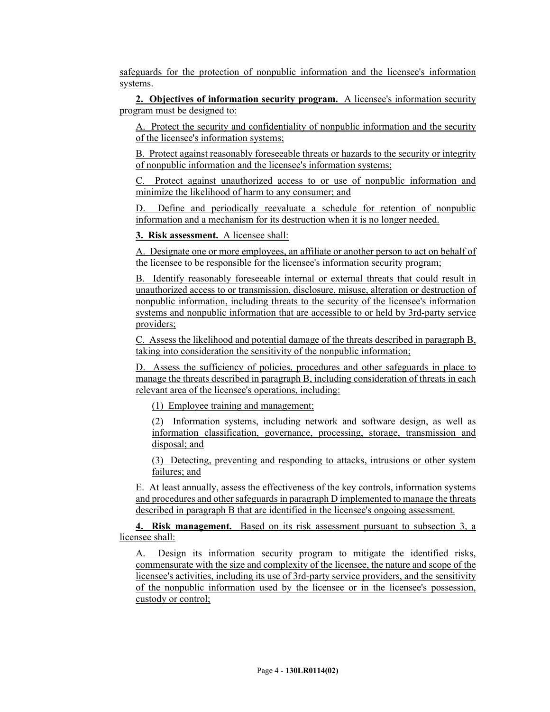safeguards for the protection of nonpublic information and the licensee's information systems.

**2. Objectives of information security program.** A licensee's information security program must be designed to:

A. Protect the security and confidentiality of nonpublic information and the security of the licensee's information systems;

B. Protect against reasonably foreseeable threats or hazards to the security or integrity of nonpublic information and the licensee's information systems;

C. Protect against unauthorized access to or use of nonpublic information and minimize the likelihood of harm to any consumer; and

D. Define and periodically reevaluate a schedule for retention of nonpublic information and a mechanism for its destruction when it is no longer needed.

**3. Risk assessment.** A licensee shall:

A. Designate one or more employees, an affiliate or another person to act on behalf of the licensee to be responsible for the licensee's information security program;

B. Identify reasonably foreseeable internal or external threats that could result in unauthorized access to or transmission, disclosure, misuse, alteration or destruction of nonpublic information, including threats to the security of the licensee's information systems and nonpublic information that are accessible to or held by 3rd-party service providers;

C. Assess the likelihood and potential damage of the threats described in paragraph B, taking into consideration the sensitivity of the nonpublic information;

D. Assess the sufficiency of policies, procedures and other safeguards in place to manage the threats described in paragraph B, including consideration of threats in each relevant area of the licensee's operations, including:

(1) Employee training and management;

(2) Information systems, including network and software design, as well as information classification, governance, processing, storage, transmission and disposal; and

(3) Detecting, preventing and responding to attacks, intrusions or other system failures; and

E. At least annually, assess the effectiveness of the key controls, information systems and procedures and other safeguards in paragraph D implemented to manage the threats described in paragraph B that are identified in the licensee's ongoing assessment.

**4. Risk management.** Based on its risk assessment pursuant to subsection 3, a licensee shall:

Design its information security program to mitigate the identified risks, commensurate with the size and complexity of the licensee, the nature and scope of the licensee's activities, including its use of 3rd-party service providers, and the sensitivity of the nonpublic information used by the licensee or in the licensee's possession, custody or control;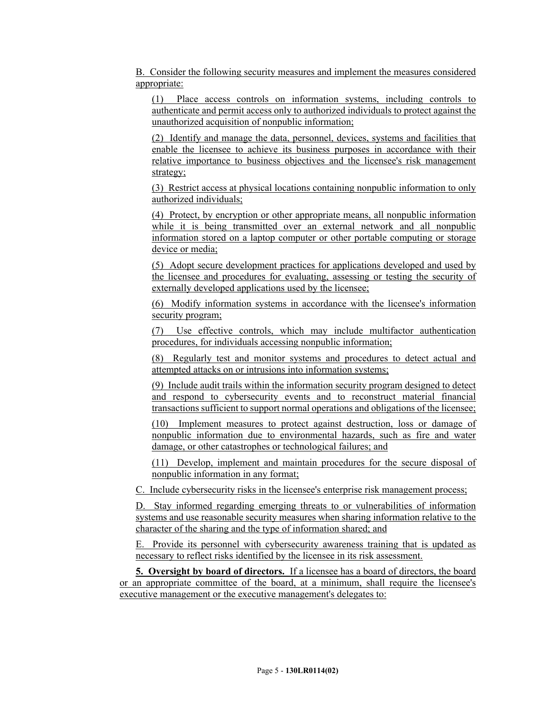B. Consider the following security measures and implement the measures considered appropriate:

(1) Place access controls on information systems, including controls to authenticate and permit access only to authorized individuals to protect against the unauthorized acquisition of nonpublic information;

(2) Identify and manage the data, personnel, devices, systems and facilities that enable the licensee to achieve its business purposes in accordance with their relative importance to business objectives and the licensee's risk management strategy;

(3) Restrict access at physical locations containing nonpublic information to only authorized individuals;

(4) Protect, by encryption or other appropriate means, all nonpublic information while it is being transmitted over an external network and all nonpublic information stored on a laptop computer or other portable computing or storage device or media;

(5) Adopt secure development practices for applications developed and used by the licensee and procedures for evaluating, assessing or testing the security of externally developed applications used by the licensee;

(6) Modify information systems in accordance with the licensee's information security program;

(7) Use effective controls, which may include multifactor authentication procedures, for individuals accessing nonpublic information;

(8) Regularly test and monitor systems and procedures to detect actual and attempted attacks on or intrusions into information systems;

(9) Include audit trails within the information security program designed to detect and respond to cybersecurity events and to reconstruct material financial transactions sufficient to support normal operations and obligations of the licensee;

(10) Implement measures to protect against destruction, loss or damage of nonpublic information due to environmental hazards, such as fire and water damage, or other catastrophes or technological failures; and

(11) Develop, implement and maintain procedures for the secure disposal of nonpublic information in any format;

C. Include cybersecurity risks in the licensee's enterprise risk management process;

D. Stay informed regarding emerging threats to or vulnerabilities of information systems and use reasonable security measures when sharing information relative to the character of the sharing and the type of information shared; and

E. Provide its personnel with cybersecurity awareness training that is updated as necessary to reflect risks identified by the licensee in its risk assessment.

**5. Oversight by board of directors.** If a licensee has a board of directors, the board or an appropriate committee of the board, at a minimum, shall require the licensee's executive management or the executive management's delegates to: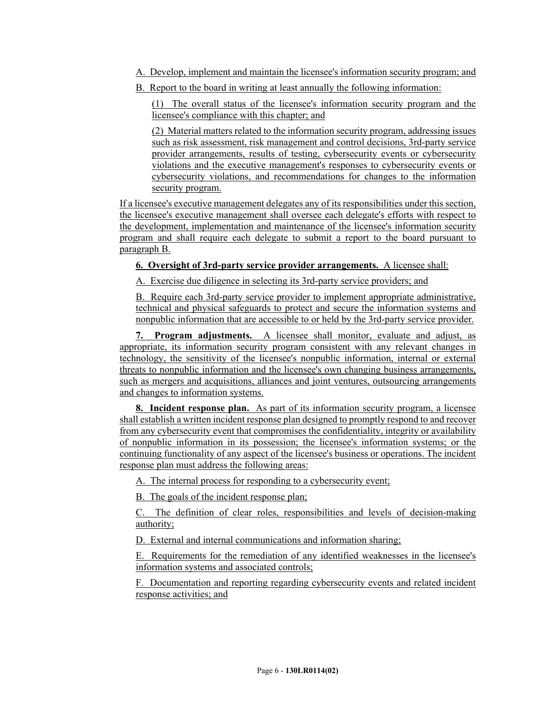- A. Develop, implement and maintain the licensee's information security program; and
- B. Report to the board in writing at least annually the following information:

(1) The overall status of the licensee's information security program and the licensee's compliance with this chapter; and

(2) Material matters related to the information security program, addressing issues such as risk assessment, risk management and control decisions, 3rd-party service provider arrangements, results of testing, cybersecurity events or cybersecurity violations and the executive management's responses to cybersecurity events or cybersecurity violations, and recommendations for changes to the information security program.

If a licensee's executive management delegates any of its responsibilities under this section, the licensee's executive management shall oversee each delegate's efforts with respect to the development, implementation and maintenance of the licensee's information security program and shall require each delegate to submit a report to the board pursuant to paragraph B.

# **6. Oversight of 3rd-party service provider arrangements.** A licensee shall:

A. Exercise due diligence in selecting its 3rd-party service providers; and

B. Require each 3rd-party service provider to implement appropriate administrative, technical and physical safeguards to protect and secure the information systems and nonpublic information that are accessible to or held by the 3rd-party service provider.

**7. Program adjustments.** A licensee shall monitor, evaluate and adjust, as appropriate, its information security program consistent with any relevant changes in technology, the sensitivity of the licensee's nonpublic information, internal or external threats to nonpublic information and the licensee's own changing business arrangements, such as mergers and acquisitions, alliances and joint ventures, outsourcing arrangements and changes to information systems.

**8. Incident response plan.** As part of its information security program, a licensee shall establish a written incident response plan designed to promptly respond to and recover from any cybersecurity event that compromises the confidentiality, integrity or availability of nonpublic information in its possession; the licensee's information systems; or the continuing functionality of any aspect of the licensee's business or operations. The incident response plan must address the following areas:

A. The internal process for responding to a cybersecurity event;

B. The goals of the incident response plan;

C. The definition of clear roles, responsibilities and levels of decision-making authority;

D. External and internal communications and information sharing;

E. Requirements for the remediation of any identified weaknesses in the licensee's information systems and associated controls;

F. Documentation and reporting regarding cybersecurity events and related incident response activities; and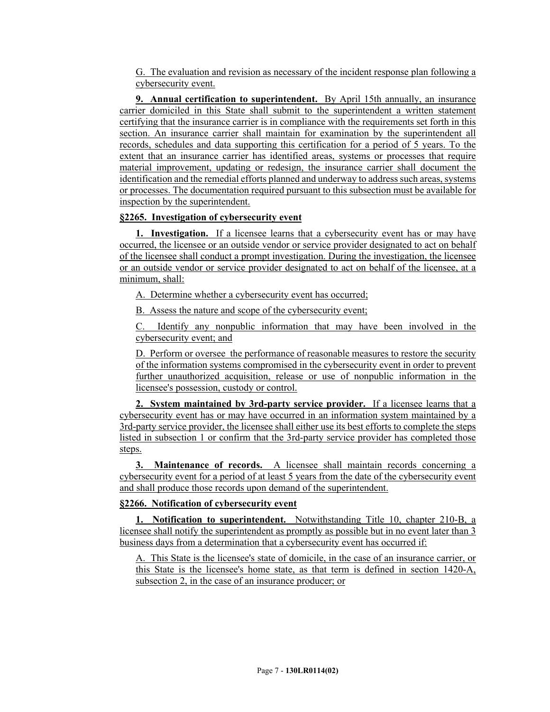G. The evaluation and revision as necessary of the incident response plan following a cybersecurity event.

**9. Annual certification to superintendent.** By April 15th annually, an insurance carrier domiciled in this State shall submit to the superintendent a written statement certifying that the insurance carrier is in compliance with the requirements set forth in this section. An insurance carrier shall maintain for examination by the superintendent all records, schedules and data supporting this certification for a period of 5 years. To the extent that an insurance carrier has identified areas, systems or processes that require material improvement, updating or redesign, the insurance carrier shall document the identification and the remedial efforts planned and underway to address such areas, systems or processes. The documentation required pursuant to this subsection must be available for inspection by the superintendent.

# **§2265. Investigation of cybersecurity event**

**1. Investigation.** If a licensee learns that a cybersecurity event has or may have occurred, the licensee or an outside vendor or service provider designated to act on behalf of the licensee shall conduct a prompt investigation. During the investigation, the licensee or an outside vendor or service provider designated to act on behalf of the licensee, at a minimum, shall:

A. Determine whether a cybersecurity event has occurred;

B. Assess the nature and scope of the cybersecurity event;

C. Identify any nonpublic information that may have been involved in the cybersecurity event; and

D. Perform or oversee the performance of reasonable measures to restore the security of the information systems compromised in the cybersecurity event in order to prevent further unauthorized acquisition, release or use of nonpublic information in the licensee's possession, custody or control.

**2. System maintained by 3rd-party service provider.** If a licensee learns that a cybersecurity event has or may have occurred in an information system maintained by a 3rd-party service provider, the licensee shall either use its best efforts to complete the steps listed in subsection 1 or confirm that the 3rd-party service provider has completed those steps.

**3. Maintenance of records.** A licensee shall maintain records concerning a cybersecurity event for a period of at least 5 years from the date of the cybersecurity event and shall produce those records upon demand of the superintendent.

# **§2266. Notification of cybersecurity event**

**1. Notification to superintendent.** Notwithstanding Title 10, chapter 210-B, a licensee shall notify the superintendent as promptly as possible but in no event later than 3 business days from a determination that a cybersecurity event has occurred if:

A. This State is the licensee's state of domicile, in the case of an insurance carrier, or this State is the licensee's home state, as that term is defined in section 1420-A, subsection 2, in the case of an insurance producer; or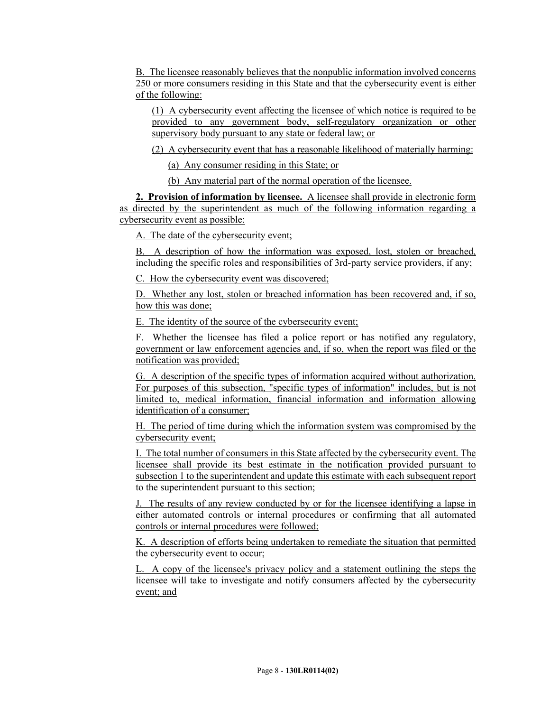B. The licensee reasonably believes that the nonpublic information involved concerns 250 or more consumers residing in this State and that the cybersecurity event is either of the following:

(1) A cybersecurity event affecting the licensee of which notice is required to be provided to any government body, self-regulatory organization or other supervisory body pursuant to any state or federal law; or

(2) A cybersecurity event that has a reasonable likelihood of materially harming:

(a) Any consumer residing in this State; or

(b) Any material part of the normal operation of the licensee.

**2. Provision of information by licensee.** A licensee shall provide in electronic form as directed by the superintendent as much of the following information regarding a cybersecurity event as possible:

A. The date of the cybersecurity event;

B. A description of how the information was exposed, lost, stolen or breached, including the specific roles and responsibilities of 3rd-party service providers, if any;

C. How the cybersecurity event was discovered;

D. Whether any lost, stolen or breached information has been recovered and, if so, how this was done;

E. The identity of the source of the cybersecurity event;

F. Whether the licensee has filed a police report or has notified any regulatory, government or law enforcement agencies and, if so, when the report was filed or the notification was provided;

G. A description of the specific types of information acquired without authorization. For purposes of this subsection, "specific types of information" includes, but is not limited to, medical information, financial information and information allowing identification of a consumer;

H. The period of time during which the information system was compromised by the cybersecurity event;

I. The total number of consumers in this State affected by the cybersecurity event. The licensee shall provide its best estimate in the notification provided pursuant to subsection 1 to the superintendent and update this estimate with each subsequent report to the superintendent pursuant to this section;

J. The results of any review conducted by or for the licensee identifying a lapse in either automated controls or internal procedures or confirming that all automated controls or internal procedures were followed;

K. A description of efforts being undertaken to remediate the situation that permitted the cybersecurity event to occur;

L. A copy of the licensee's privacy policy and a statement outlining the steps the licensee will take to investigate and notify consumers affected by the cybersecurity event; and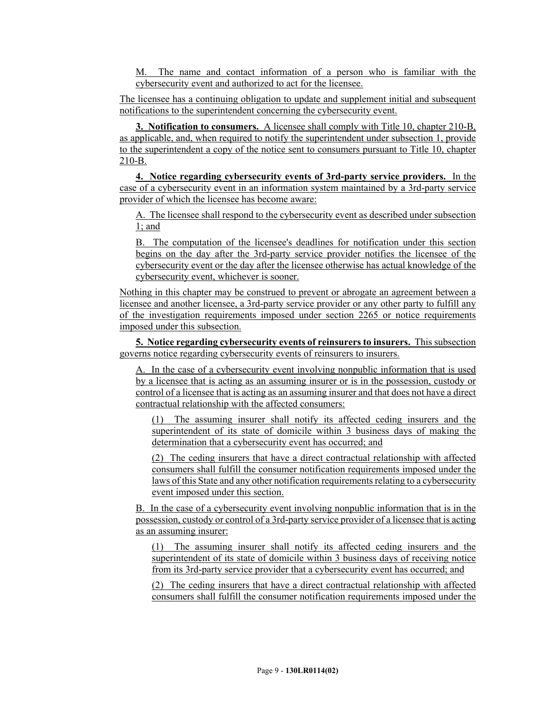M. The name and contact information of a person who is familiar with the cybersecurity event and authorized to act for the licensee.

The licensee has a continuing obligation to update and supplement initial and subsequent notifications to the superintendent concerning the cybersecurity event.

**3. Notification to consumers.** A licensee shall comply with Title 10, chapter 210-B, as applicable, and, when required to notify the superintendent under subsection 1, provide to the superintendent a copy of the notice sent to consumers pursuant to Title 10, chapter 210-B.

**4. Notice regarding cybersecurity events of 3rd-party service providers.** In the case of a cybersecurity event in an information system maintained by a 3rd-party service provider of which the licensee has become aware:

A. The licensee shall respond to the cybersecurity event as described under subsection 1; and

B. The computation of the licensee's deadlines for notification under this section begins on the day after the 3rd-party service provider notifies the licensee of the cybersecurity event or the day after the licensee otherwise has actual knowledge of the cybersecurity event, whichever is sooner.

Nothing in this chapter may be construed to prevent or abrogate an agreement between a licensee and another licensee, a 3rd-party service provider or any other party to fulfill any of the investigation requirements imposed under section 2265 or notice requirements imposed under this subsection.

**5. Notice regarding cybersecurity events of reinsurers to insurers.** This subsection governs notice regarding cybersecurity events of reinsurers to insurers.

A. In the case of a cybersecurity event involving nonpublic information that is used by a licensee that is acting as an assuming insurer or is in the possession, custody or control of a licensee that is acting as an assuming insurer and that does not have a direct contractual relationship with the affected consumers:

(1) The assuming insurer shall notify its affected ceding insurers and the superintendent of its state of domicile within 3 business days of making the determination that a cybersecurity event has occurred; and

(2) The ceding insurers that have a direct contractual relationship with affected consumers shall fulfill the consumer notification requirements imposed under the laws of this State and any other notification requirements relating to a cybersecurity event imposed under this section.

B. In the case of a cybersecurity event involving nonpublic information that is in the possession, custody or control of a 3rd-party service provider of a licensee that is acting as an assuming insurer:

(1) The assuming insurer shall notify its affected ceding insurers and the superintendent of its state of domicile within 3 business days of receiving notice from its 3rd-party service provider that a cybersecurity event has occurred; and

(2) The ceding insurers that have a direct contractual relationship with affected consumers shall fulfill the consumer notification requirements imposed under the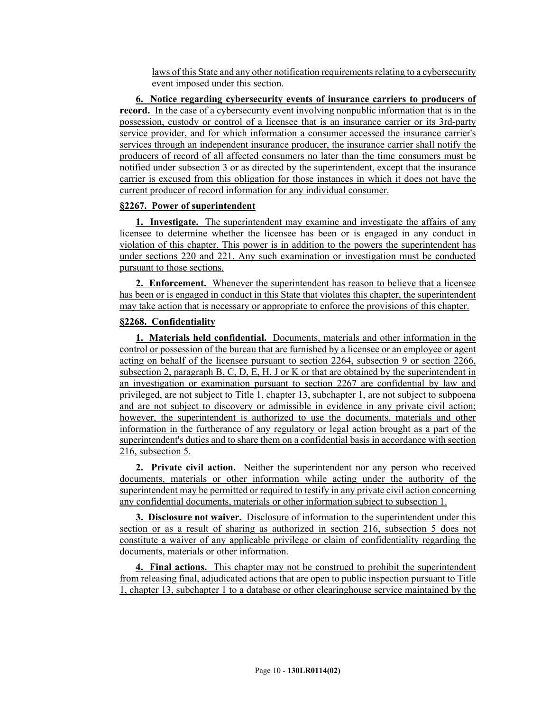laws of this State and any other notification requirements relating to a cybersecurity event imposed under this section.

**6. Notice regarding cybersecurity events of insurance carriers to producers of record.** In the case of a cybersecurity event involving nonpublic information that is in the possession, custody or control of a licensee that is an insurance carrier or its 3rd-party service provider, and for which information a consumer accessed the insurance carrier's services through an independent insurance producer, the insurance carrier shall notify the producers of record of all affected consumers no later than the time consumers must be notified under subsection 3 or as directed by the superintendent, except that the insurance carrier is excused from this obligation for those instances in which it does not have the current producer of record information for any individual consumer.

#### **§2267. Power of superintendent**

**1. Investigate.** The superintendent may examine and investigate the affairs of any licensee to determine whether the licensee has been or is engaged in any conduct in violation of this chapter. This power is in addition to the powers the superintendent has under sections 220 and 221. Any such examination or investigation must be conducted pursuant to those sections.

**2. Enforcement.** Whenever the superintendent has reason to believe that a licensee has been or is engaged in conduct in this State that violates this chapter, the superintendent may take action that is necessary or appropriate to enforce the provisions of this chapter.

## **§2268. Confidentiality**

**1. Materials held confidential.** Documents, materials and other information in the control or possession of the bureau that are furnished by a licensee or an employee or agent acting on behalf of the licensee pursuant to section 2264, subsection 9 or section 2266, subsection 2, paragraph B, C, D, E, H, J or K or that are obtained by the superintendent in an investigation or examination pursuant to section 2267 are confidential by law and privileged, are not subject to Title 1, chapter 13, subchapter 1, are not subject to subpoena and are not subject to discovery or admissible in evidence in any private civil action; however, the superintendent is authorized to use the documents, materials and other information in the furtherance of any regulatory or legal action brought as a part of the superintendent's duties and to share them on a confidential basis in accordance with section 216, subsection 5.

**2. Private civil action.** Neither the superintendent nor any person who received documents, materials or other information while acting under the authority of the superintendent may be permitted or required to testify in any private civil action concerning any confidential documents, materials or other information subject to subsection 1.

**3. Disclosure not waiver.** Disclosure of information to the superintendent under this section or as a result of sharing as authorized in section 216, subsection 5 does not constitute a waiver of any applicable privilege or claim of confidentiality regarding the documents, materials or other information.

**4. Final actions.** This chapter may not be construed to prohibit the superintendent from releasing final, adjudicated actions that are open to public inspection pursuant to Title 1, chapter 13, subchapter 1 to a database or other clearinghouse service maintained by the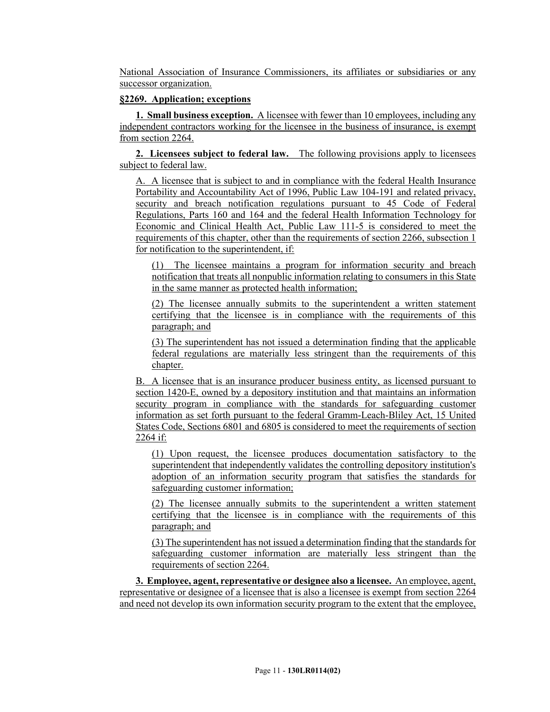National Association of Insurance Commissioners, its affiliates or subsidiaries or any successor organization.

#### **§2269. Application; exceptions**

**1. Small business exception.** A licensee with fewer than 10 employees, including any independent contractors working for the licensee in the business of insurance, is exempt from section 2264.

**2. Licensees subject to federal law.** The following provisions apply to licensees subject to federal law.

A. A licensee that is subject to and in compliance with the federal Health Insurance Portability and Accountability Act of 1996, Public Law 104-191 and related privacy, security and breach notification regulations pursuant to 45 Code of Federal Regulations, Parts 160 and 164 and the federal Health Information Technology for Economic and Clinical Health Act, Public Law 111-5 is considered to meet the requirements of this chapter, other than the requirements of section 2266, subsection 1 for notification to the superintendent, if:

(1) The licensee maintains a program for information security and breach notification that treats all nonpublic information relating to consumers in this State in the same manner as protected health information;

(2) The licensee annually submits to the superintendent a written statement certifying that the licensee is in compliance with the requirements of this paragraph; and

(3) The superintendent has not issued a determination finding that the applicable federal regulations are materially less stringent than the requirements of this chapter.

B. A licensee that is an insurance producer business entity, as licensed pursuant to section 1420-E, owned by a depository institution and that maintains an information security program in compliance with the standards for safeguarding customer information as set forth pursuant to the federal Gramm-Leach-Bliley Act, 15 United States Code, Sections 6801 and 6805 is considered to meet the requirements of section 2264 if:

(1) Upon request, the licensee produces documentation satisfactory to the superintendent that independently validates the controlling depository institution's adoption of an information security program that satisfies the standards for safeguarding customer information;

(2) The licensee annually submits to the superintendent a written statement certifying that the licensee is in compliance with the requirements of this paragraph; and

(3) The superintendent has not issued a determination finding that the standards for safeguarding customer information are materially less stringent than the requirements of section 2264.

**3. Employee, agent, representative or designee also a licensee.** An employee, agent, representative or designee of a licensee that is also a licensee is exempt from section 2264 and need not develop its own information security program to the extent that the employee,